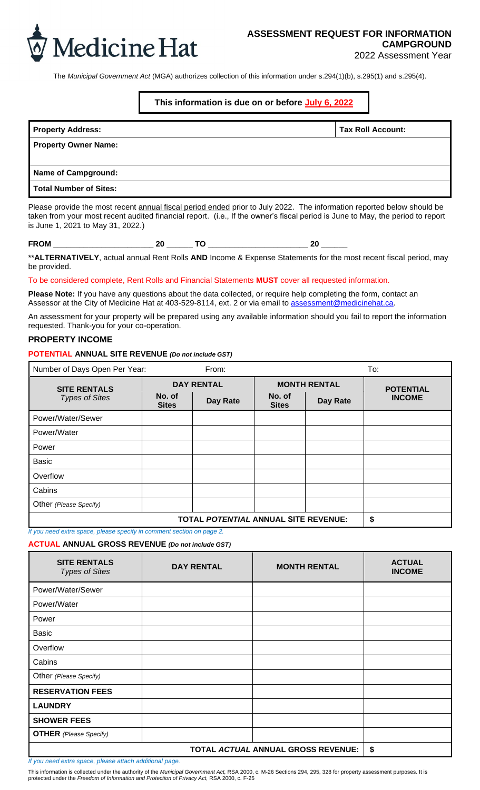

2022 Assessment Year

The *Municipal Government Act* (MGA) authorizes collection of this information under s.294(1)(b), s.295(1) and s.295(4).

#### **This information is due on or before July 6, 2022**

| <b>Property Address:</b>    | <b>Tax Roll Account:</b> |
|-----------------------------|--------------------------|
| <b>Property Owner Name:</b> |                          |
| Name of Campground:         |                          |
| Total Number of Sites:      |                          |

Please provide the most recent annual fiscal period ended prior to July 2022. The information reported below should be taken from your most recent audited financial report. (i.e., If the owner's fiscal period is June to May, the period to report is June 1, 2021 to May 31, 2022.)

| .<br>$ -$<br>$\sim$ | . . |  |  |
|---------------------|-----|--|--|
|---------------------|-----|--|--|

\*\***ALTERNATIVELY**, actual annual Rent Rolls **AND** Income & Expense Statements for the most recent fiscal period, may be provided.

To be considered complete, Rent Rolls and Financial Statements **MUST** cover all requested information.

**Please Note:** If you have any questions about the data collected, or require help completing the form, contact an Assessor at the City of Medicine Hat at 403-529-8114, ext. 2 or via email to assessment@medicinehat.ca.

An assessment for your property will be prepared using any available information should you fail to report the information requested. Thank-you for your co-operation.

#### **PROPERTY INCOME**

**POTENTIAL ANNUAL SITE REVENUE** *(Do not include GST)*

| Number of Days Open Per Year:<br>From:       |                        |                   | To:                    |                     |                  |
|----------------------------------------------|------------------------|-------------------|------------------------|---------------------|------------------|
| <b>SITE RENTALS</b><br><b>Types of Sites</b> |                        | <b>DAY RENTAL</b> |                        | <b>MONTH RENTAL</b> | <b>POTENTIAL</b> |
|                                              | No. of<br><b>Sites</b> | Day Rate          | No. of<br><b>Sites</b> | Day Rate            | <b>INCOME</b>    |
| Power/Water/Sewer                            |                        |                   |                        |                     |                  |
| Power/Water                                  |                        |                   |                        |                     |                  |
| Power                                        |                        |                   |                        |                     |                  |
| <b>Basic</b>                                 |                        |                   |                        |                     |                  |
| Overflow                                     |                        |                   |                        |                     |                  |
| Cabins                                       |                        |                   |                        |                     |                  |
| Other (Please Specify)                       |                        |                   |                        |                     |                  |
| <b>TOTAL POTENTIAL ANNUAL SITE REVENUE:</b>  |                        |                   |                        | \$                  |                  |

*If you need extra space, please specify in comment section on page 2.*

**ACTUAL ANNUAL GROSS REVENUE** *(Do not include GST)*

| <b>SITE RENTALS</b><br><b>Types of Sites</b> | <b>DAY RENTAL</b> | <b>MONTH RENTAL</b> | <b>ACTUAL</b><br><b>INCOME</b> |
|----------------------------------------------|-------------------|---------------------|--------------------------------|
| Power/Water/Sewer                            |                   |                     |                                |
| Power/Water                                  |                   |                     |                                |
| Power                                        |                   |                     |                                |
| <b>Basic</b>                                 |                   |                     |                                |
| Overflow                                     |                   |                     |                                |
| Cabins                                       |                   |                     |                                |
| Other (Please Specify)                       |                   |                     |                                |
| <b>RESERVATION FEES</b>                      |                   |                     |                                |
| <b>LAUNDRY</b>                               |                   |                     |                                |
| <b>SHOWER FEES</b>                           |                   |                     |                                |
| <b>OTHER</b> (Please Specify)                |                   |                     |                                |
|                                              | \$                |                     |                                |

*If you need extra space, please attach additional page.*

This information is collected under the authority of the *Municipal Government Act,* RSA 2000, c. M-26 Sections 294, 295, 328 for property assessment purposes. It is protected under the *Freedom of Information and Protection of Privacy Act,* RSA 2000, c. F-25